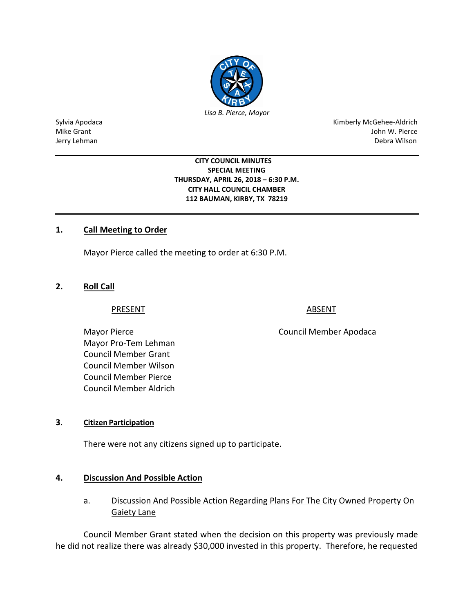

Sylvia Apodaca **Kimberly McGehee-Aldrich** Kimberly McGehee-Aldrich Mike Grant **Mike Grant** John W. Pierce Jerry Lehman Debra Wilson

> **CITY COUNCIL MINUTES SPECIAL MEETING THURSDAY, APRIL 26, 2018 – 6:30 P.M. CITY HALL COUNCIL CHAMBER 112 BAUMAN, KIRBY, TX 78219**

## **1. Call Meeting to Order**

Mayor Pierce called the meeting to order at 6:30 P.M.

## **2. Roll Call**

#### PRESENT ABSENT

Mayor Pro-Tem Lehman Council Member Grant Council Member Wilson Council Member Pierce Council Member Aldrich

## **3. Citizen Participation**

There were not any citizens signed up to participate.

## **4. Discussion And Possible Action**

# a. Discussion And Possible Action Regarding Plans For The City Owned Property On Gaiety Lane

Council Member Grant stated when the decision on this property was previously made he did not realize there was already \$30,000 invested in this property. Therefore, he requested

Mayor Pierce **Council Member Apodaca**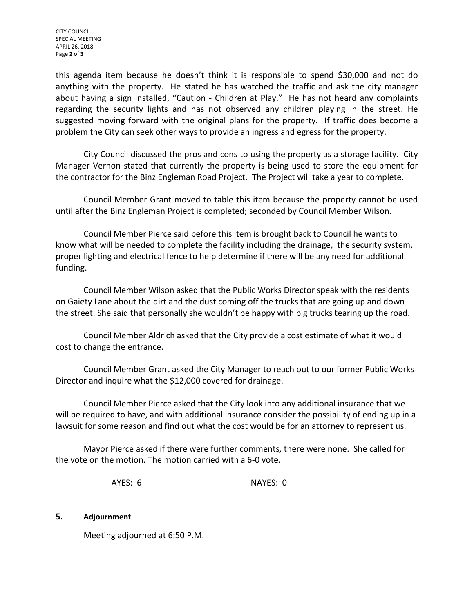CITY COUNCIL SPECIAL MEETING APRIL 26, 2018 Page **2** of **3**

this agenda item because he doesn't think it is responsible to spend \$30,000 and not do anything with the property. He stated he has watched the traffic and ask the city manager about having a sign installed, "Caution - Children at Play." He has not heard any complaints regarding the security lights and has not observed any children playing in the street. He suggested moving forward with the original plans for the property. If traffic does become a problem the City can seek other ways to provide an ingress and egress for the property.

City Council discussed the pros and cons to using the property as a storage facility. City Manager Vernon stated that currently the property is being used to store the equipment for the contractor for the Binz Engleman Road Project. The Project will take a year to complete.

Council Member Grant moved to table this item because the property cannot be used until after the Binz Engleman Project is completed; seconded by Council Member Wilson.

Council Member Pierce said before this item is brought back to Council he wants to know what will be needed to complete the facility including the drainage, the security system, proper lighting and electrical fence to help determine if there will be any need for additional funding.

Council Member Wilson asked that the Public Works Director speak with the residents on Gaiety Lane about the dirt and the dust coming off the trucks that are going up and down the street. She said that personally she wouldn't be happy with big trucks tearing up the road.

Council Member Aldrich asked that the City provide a cost estimate of what it would cost to change the entrance.

Council Member Grant asked the City Manager to reach out to our former Public Works Director and inquire what the \$12,000 covered for drainage.

Council Member Pierce asked that the City look into any additional insurance that we will be required to have, and with additional insurance consider the possibility of ending up in a lawsuit for some reason and find out what the cost would be for an attorney to represent us.

Mayor Pierce asked if there were further comments, there were none. She called for the vote on the motion. The motion carried with a 6-0 vote.

AYES: 6 NAYES: 0

#### **5. Adjournment**

Meeting adjourned at 6:50 P.M.